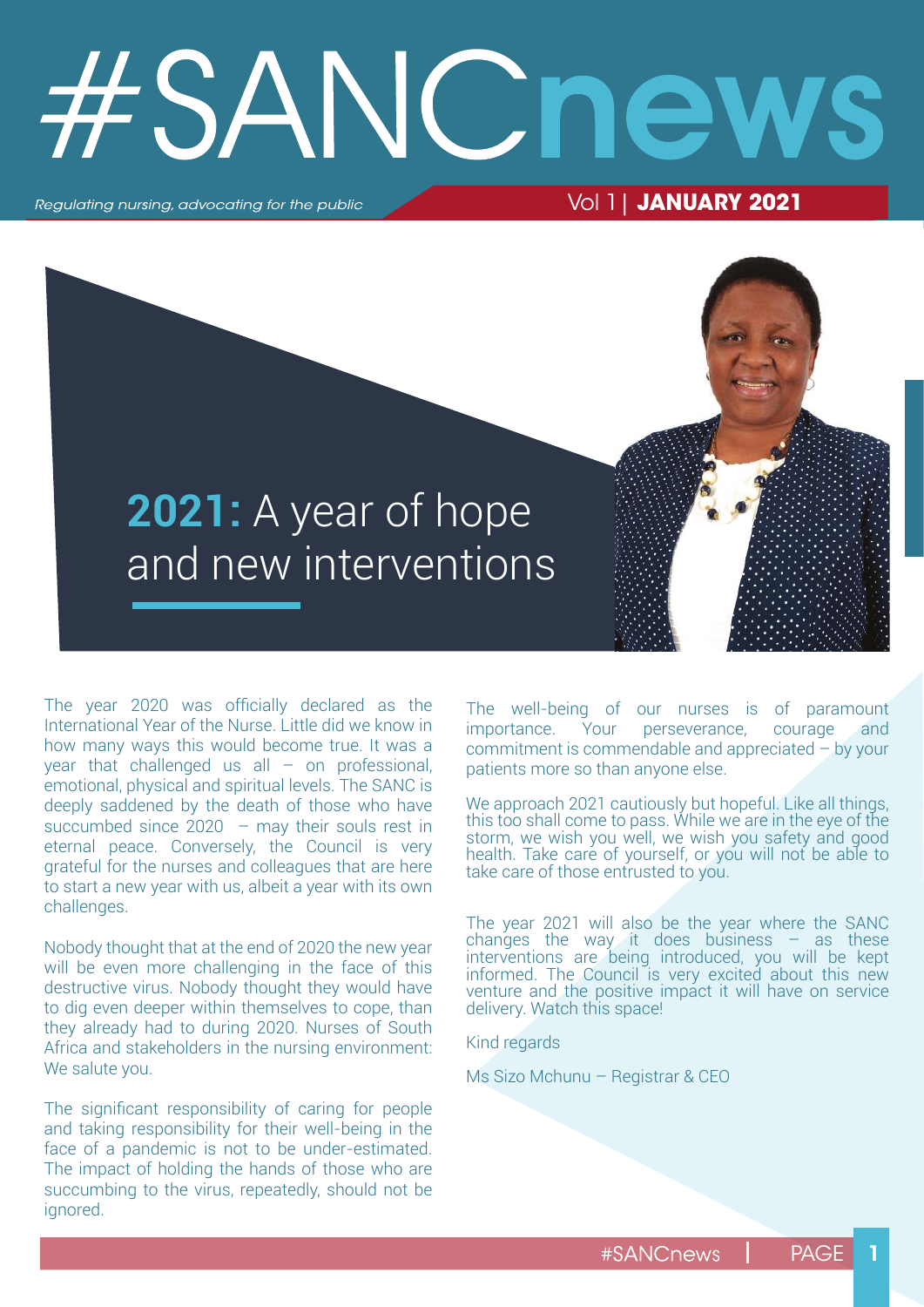# SANC n

Regulating nursing, advocating for the public

Vol 1| **JANUARY 2021**



The year 2020 was officially declared as the International Year of the Nurse. Little did we know in how many ways this would become true. It was a year that challenged us all  $-$  on professional, emotional, physical and spiritual levels. The SANC is deeply saddened by the death of those who have succumbed since  $2020 -$  may their souls rest in eternal peace. Conversely, the Council is very grateful for the nurses and colleagues that are here to start a new year with us, albeit a year with its own challenges.

Nobody thought that at the end of 2020 the new year will be even more challenging in the face of this destructive virus. Nobody thought they would have to dig even deeper within themselves to cope, than they already had to during 2020. Nurses of South Africa and stakeholders in the nursing environment: We salute you.

The significant responsibility of caring for people and taking responsibility for their well-being in the face of a pandemic is not to be under-estimated. The impact of holding the hands of those who are succumbing to the virus, repeatedly, should not be ignored.

The well-being of our nurses is of paramount importance. Your perseverance, courage and commitment is commendable and appreciated – by your patients more so than anyone else.

We approach 2021 cautiously but hopeful. Like all things, this too shall come to pass. While we are in the eye of the storm, we wish you well, we wish you safety and good health. Take care of yourself, or you will not be able to take care of those entrusted to you.

The year 2021 will also be the year where the SANC changes the way it does business  $-$  as these interventions are being introduced, you will be kept informed. The Council is very excited about this new venture and the positive impact it will have on service delivery. Watch this space!

Kind regards

Ms Sizo Mchunu – Registrar & CEO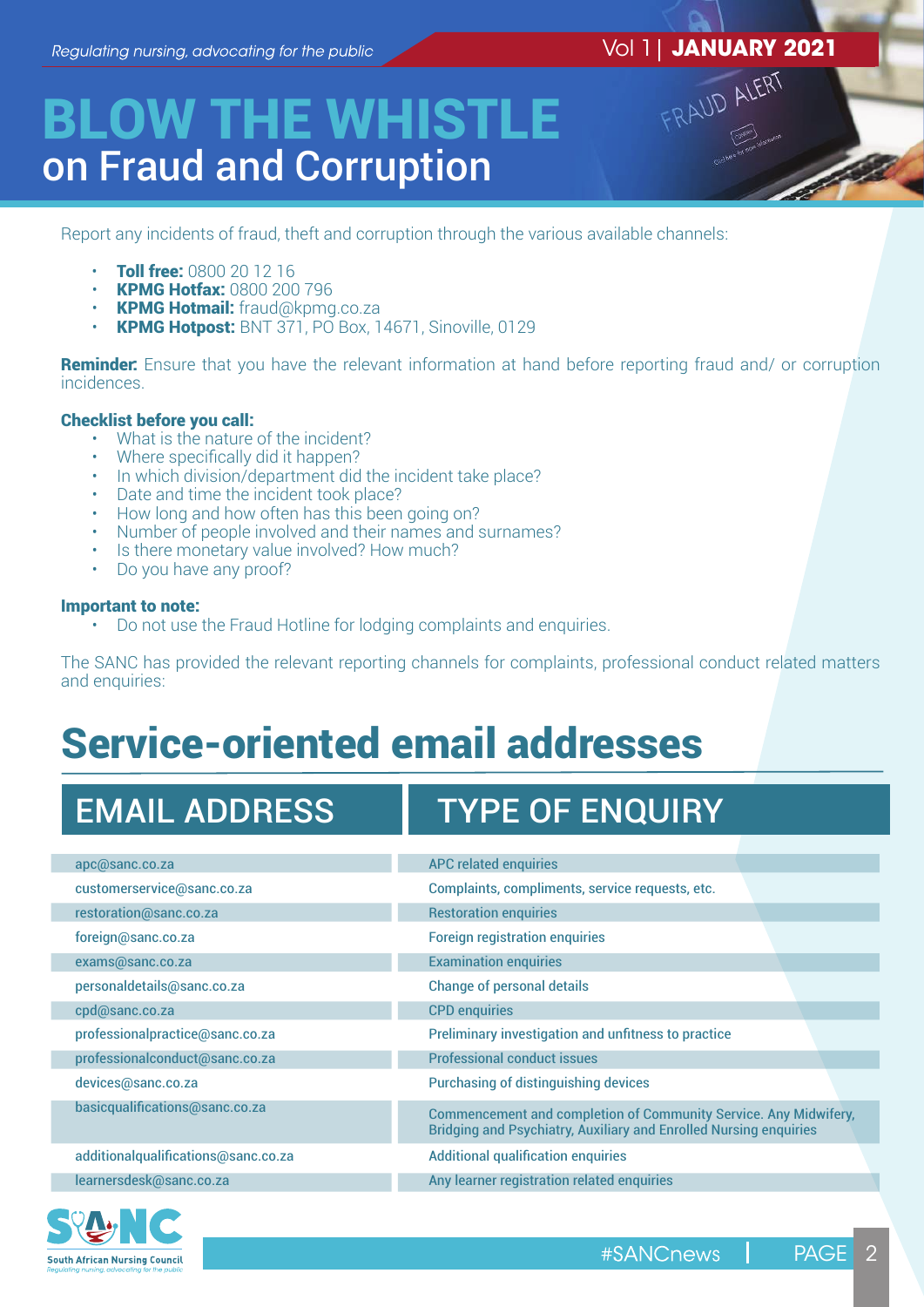# Vol 1| **JANUARY 2021** FRAUD ALERT

## BLOW THE WHISTLE on Fraud and Corruption

Report any incidents of fraud, theft and corruption through the various available channels:

- **Toll free: 0800 20 12 16**
- KPMG Hotfax: 0800 200 796
- KPMG Hotmail: fraud@kpmg.co.za
- KPMG Hotpost: BNT 371, PO Box, 14671, Sinoville, 0129

**Reminder:** Ensure that you have the relevant information at hand before reporting fraud and/ or corruption incidences.

#### Checklist before you call:

- What is the nature of the incident?
- Where specifically did it happen?
- In which division/department did the incident take place?
- Date and time the incident took place?
- How long and how often has this been going on?
- Number of people involved and their names and surnames?
- Is there monetary value involved? How much?
- Do you have any proof?

#### Important to note:

• Do not use the Fraud Hotline for lodging complaints and enquiries.

The SANC has provided the relevant reporting channels for complaints, professional conduct related matters and enquiries:

## Service-oriented email addresses

### EMAIL ADDRESS | TYPE OF ENQUIRY

| apc@sanc.co.za                      | <b>APC related enquiries</b>                                                                                                                        |
|-------------------------------------|-----------------------------------------------------------------------------------------------------------------------------------------------------|
| customerservice@sanc.co.za          | Complaints, compliments, service requests, etc.                                                                                                     |
| restoration@sanc.co.za              | <b>Restoration enquiries</b>                                                                                                                        |
| foreign@sanc.co.za                  | <b>Foreign registration enquiries</b>                                                                                                               |
| exams@sanc.co.za                    | <b>Examination enquiries</b>                                                                                                                        |
| personaldetails@sanc.co.za          | <b>Change of personal details</b>                                                                                                                   |
| cpd@sanc.co.za                      | <b>CPD</b> enquiries                                                                                                                                |
| professionalpractice@sanc.co.za     | Preliminary investigation and unfitness to practice                                                                                                 |
| professionalconduct@sanc.co.za      | <b>Professional conduct issues</b>                                                                                                                  |
| devices@sanc.co.za                  | <b>Purchasing of distinguishing devices</b>                                                                                                         |
| basicqualifications@sanc.co.za      | <b>Commencement and completion of Community Service. Any Midwifery,</b><br><b>Bridging and Psychiatry, Auxiliary and Enrolled Nursing enquiries</b> |
| additionalqualifications@sanc.co.za | <b>Additional qualification enquiries</b>                                                                                                           |
| learnersdesk@sanc.co.za             | Any learner registration related enquiries                                                                                                          |
|                                     |                                                                                                                                                     |

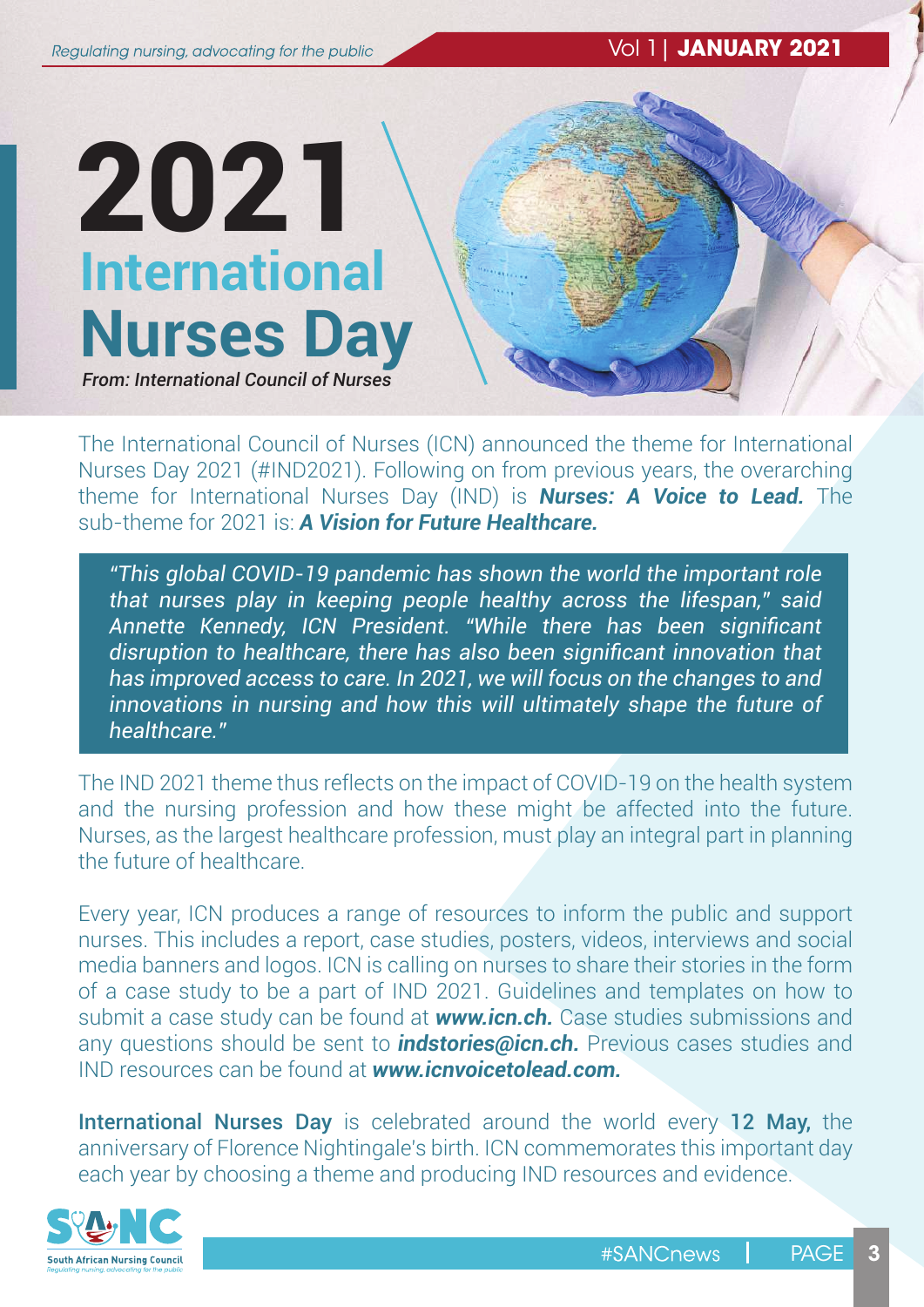Vol 1| **JANUARY 2021**

# **International Nurses Day**  2021

*From: International Council of Nurses*

The International Council of Nurses (ICN) announced the theme for International Nurses Day 2021 (#IND2021). Following on from previous years, the overarching theme for International Nurses Day (IND) is *Nurses: A Voice to Lead.* The sub-theme for 2021 is: *A Vision for Future Healthcare.*

*"This global COVID-19 pandemic has shown the world the important role that nurses play in keeping people healthy across the lifespan," said Annette Kennedy, ICN President. "While there has been significant disruption to healthcare, there has also been significant innovation that has improved access to care. In 2021, we will focus on the changes to and innovations in nursing and how this will ultimately shape the future of healthcare."* 

The IND 2021 theme thus reflects on the impact of COVID-19 on the health system and the nursing profession and how these might be affected into the future. Nurses, as the largest healthcare profession, must play an integral part in planning the future of healthcare.

Every year, ICN produces a range of resources to inform the public and support nurses. This includes a report, case studies, posters, videos, interviews and social media banners and logos. ICN is calling on nurses to share their stories in the form of a case study to be a part of IND 2021. Guidelines and templates on how to submit a case study can be found at *www.icn.ch.* Case studies submissions and any questions should be sent to *indstories@icn.ch.* Previous cases studies and IND resources can be found at *www.icnvoicetolead.com.*

International Nurses Day is celebrated around the world every 12 May, the anniversary of Florence Nightingale's birth. ICN commemorates this important day each year by choosing a theme and producing IND resources and evidence.

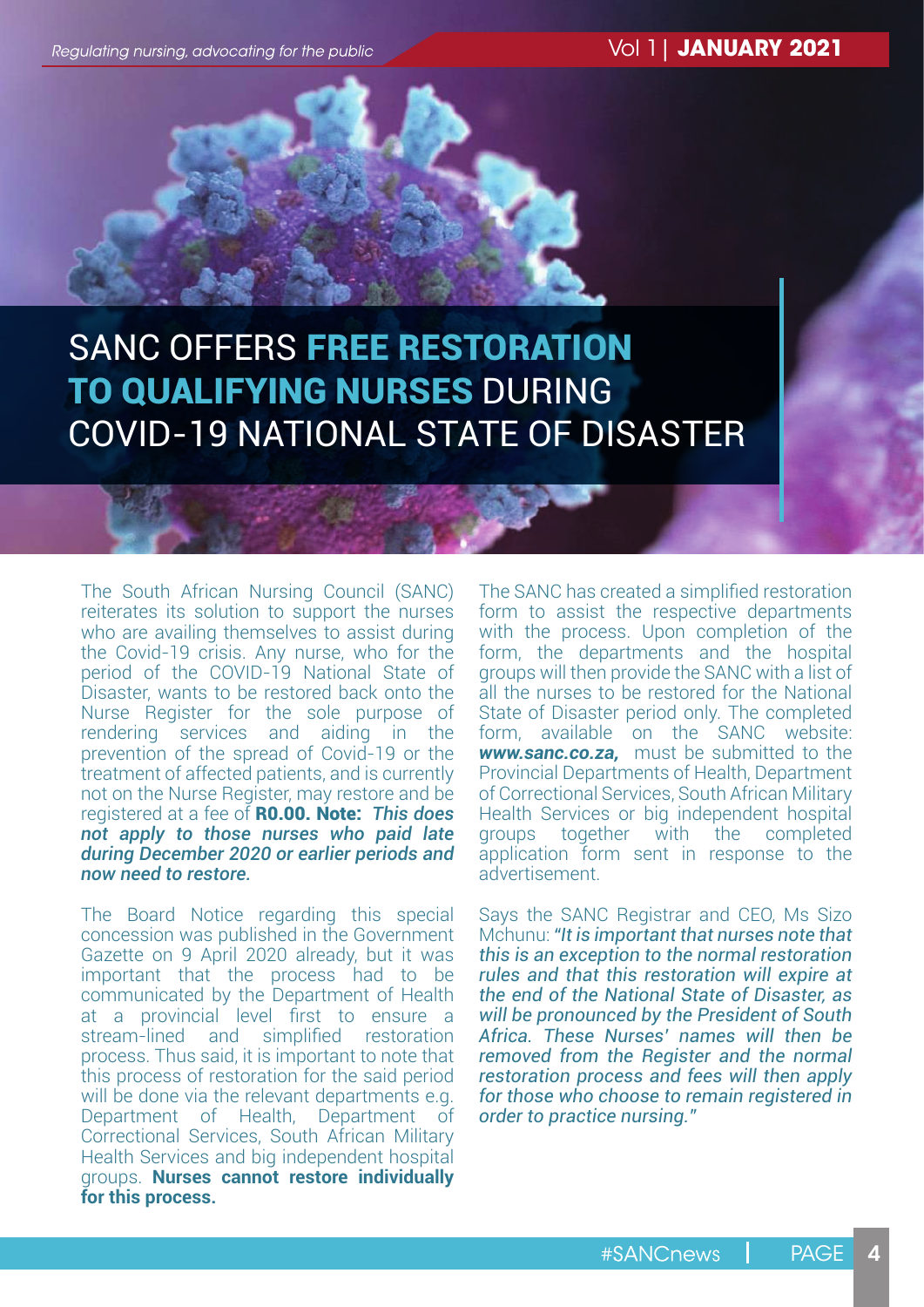Regulating nursing, advocating for the public

Vol 1| **JANUARY 2021**

#### SANC OFFERS FREE RESTORATION TO QUALIFYING NURSES DURING COVID-19 NATIONAL STATE OF DISASTER

The South African Nursing Council (SANC) reiterates its solution to support the nurses who are availing themselves to assist during the Covid-19 crisis. Any nurse, who for the period of the COVID-19 National State of Disaster, wants to be restored back onto the Nurse Register for the sole purpose of rendering services and aiding in the prevention of the spread of Covid-19 or the treatment of affected patients, and is currently not on the Nurse Register, may restore and be registered at a fee of R0.00. Note: *This does not apply to those nurses who paid late during December 2020 or earlier periods and now need to restore.*

The Board Notice regarding this special concession was published in the Government Gazette on 9 April 2020 already, but it was important that the process had to be communicated by the Department of Health at a provincial level first to ensure a stream-lined and simplified restoration process. Thus said, it is important to note that this process of restoration for the said period will be done via the relevant departments e.g. Department of Health, Department of Correctional Services, South African Military Health Services and big independent hospital groups. **Nurses cannot restore individually for this process.** 

The SANC has created a simplified restoration form to assist the respective departments with the process. Upon completion of the form, the departments and the hospital groups will then provide the SANC with a list of all the nurses to be restored for the National State of Disaster period only. The completed form, available on the SANC website: *www.sanc.co.za,* must be submitted to the Provincial Departments of Health, Department of Correctional Services, South African Military Health Services or big independent hospital groups together with the completed application form sent in response to the advertisement.

Says the SANC Registrar and CEO, Ms Sizo Mchunu: *"It is important that nurses note that this is an exception to the normal restoration rules and that this restoration will expire at the end of the National State of Disaster, as will be pronounced by the President of South Africa. These Nurses' names will then be removed from the Register and the normal restoration process and fees will then apply for those who choose to remain registered in order to practice nursing."*